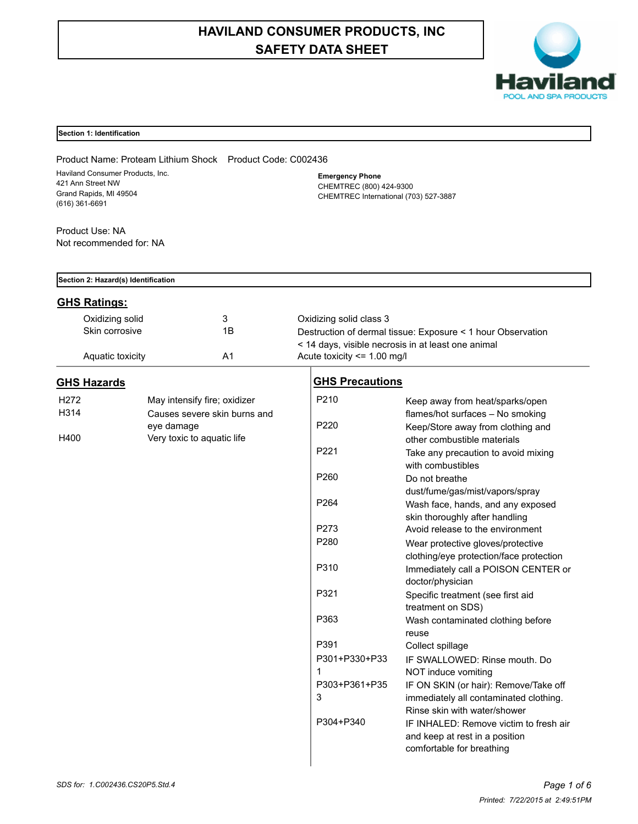# **HAVILAND CONSUMER PRODUCTS, INC SAFETY DATA SHEET**



# **Section 1: Identification**

Product Name: Proteam Lithium Shock Product Code: C002436 Haviland Consumer Products, Inc. 421 Ann Street NW Grand Rapids, MI 49504 (616) 361-6691

**Emergency Phone** CHEMTREC (800) 424-9300 CHEMTREC International (703) 527-3887

| Product Use: NA         |  |
|-------------------------|--|
| Not recommended for: NA |  |

| Section 2: Hazard(s) Identification |                  |                              |                             |                                                                                 |  |
|-------------------------------------|------------------|------------------------------|-----------------------------|---------------------------------------------------------------------------------|--|
| <b>GHS Ratings:</b>                 |                  |                              |                             |                                                                                 |  |
|                                     | Oxidizing solid  | 3                            | Oxidizing solid class 3     |                                                                                 |  |
|                                     | Skin corrosive   | 1B                           |                             | Destruction of dermal tissue: Exposure < 1 hour Observation                     |  |
|                                     |                  |                              |                             | < 14 days, visible necrosis in at least one animal                              |  |
|                                     | Aquatic toxicity | A <sub>1</sub>               | Acute toxicity <= 1.00 mg/l |                                                                                 |  |
| <b>GHS Hazards</b>                  |                  |                              | <b>GHS Precautions</b>      |                                                                                 |  |
| H272                                |                  | May intensify fire; oxidizer | P210                        | Keep away from heat/sparks/open                                                 |  |
| H314                                |                  | Causes severe skin burns and |                             | flames/hot surfaces - No smoking                                                |  |
|                                     | eye damage       |                              | P <sub>220</sub>            | Keep/Store away from clothing and                                               |  |
| H400                                |                  | Very toxic to aquatic life   |                             | other combustible materials                                                     |  |
|                                     |                  |                              | P221                        | Take any precaution to avoid mixing                                             |  |
|                                     |                  |                              |                             | with combustibles                                                               |  |
|                                     |                  |                              | P260                        | Do not breathe                                                                  |  |
|                                     |                  |                              |                             | dust/fume/gas/mist/vapors/spray                                                 |  |
|                                     |                  |                              | P264                        | Wash face, hands, and any exposed                                               |  |
|                                     |                  |                              |                             | skin thoroughly after handling                                                  |  |
|                                     |                  |                              | P273                        | Avoid release to the environment                                                |  |
|                                     |                  |                              | P280                        | Wear protective gloves/protective                                               |  |
|                                     |                  |                              |                             | clothing/eye protection/face protection                                         |  |
|                                     |                  |                              | P310                        | Immediately call a POISON CENTER or                                             |  |
|                                     |                  |                              |                             | doctor/physician                                                                |  |
|                                     |                  |                              | P321                        | Specific treatment (see first aid                                               |  |
|                                     |                  |                              |                             | treatment on SDS)                                                               |  |
|                                     |                  |                              | P363                        | Wash contaminated clothing before                                               |  |
|                                     |                  |                              | P391                        | reuse                                                                           |  |
|                                     |                  |                              | P301+P330+P33               | Collect spillage                                                                |  |
|                                     |                  |                              | $\mathbf 1$                 | IF SWALLOWED: Rinse mouth. Do                                                   |  |
|                                     |                  |                              | P303+P361+P35               | NOT induce vomiting                                                             |  |
|                                     |                  |                              | 3                           | IF ON SKIN (or hair): Remove/Take off<br>immediately all contaminated clothing. |  |
|                                     |                  |                              |                             | Rinse skin with water/shower                                                    |  |
|                                     |                  |                              | P304+P340                   | IF INHALED: Remove victim to fresh air                                          |  |
|                                     |                  |                              |                             | and keep at rest in a position                                                  |  |
|                                     |                  |                              |                             | comfortable for breathing                                                       |  |
|                                     |                  |                              |                             |                                                                                 |  |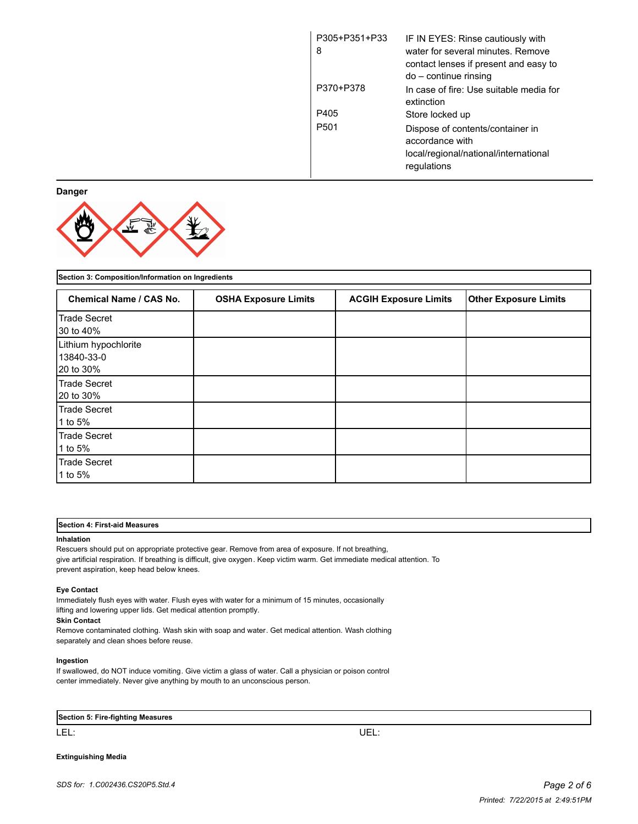| P305+P351+P33<br>8 | IF IN EYES: Rinse cautiously with<br>water for several minutes. Remove<br>contact lenses if present and easy to<br>do – continue rinsing |
|--------------------|------------------------------------------------------------------------------------------------------------------------------------------|
| P370+P378          | In case of fire: Use suitable media for<br>extinction                                                                                    |
| P405               | Store locked up                                                                                                                          |
| P <sub>501</sub>   | Dispose of contents/container in<br>accordance with<br>local/regional/national/international<br>regulations                              |

**Danger**



| Section 3: Composition/Information on Ingredients |                             |                              |                              |
|---------------------------------------------------|-----------------------------|------------------------------|------------------------------|
| <b>Chemical Name / CAS No.</b>                    | <b>OSHA Exposure Limits</b> | <b>ACGIH Exposure Limits</b> | <b>Other Exposure Limits</b> |
| Trade Secret<br>30 to 40%                         |                             |                              |                              |
| Lithium hypochlorite<br>13840-33-0<br>20 to 30%   |                             |                              |                              |
| Trade Secret<br>20 to 30%                         |                             |                              |                              |
| Trade Secret<br>1 to 5%                           |                             |                              |                              |
| Trade Secret<br>1 to 5%                           |                             |                              |                              |
| Trade Secret<br>1 to 5%                           |                             |                              |                              |

# **Section 4: First-aid Measures**

#### **Inhalation**

Rescuers should put on appropriate protective gear. Remove from area of exposure. If not breathing, give artificial respiration. If breathing is difficult, give oxygen. Keep victim warm. Get immediate medical attention. To prevent aspiration, keep head below knees.

#### **Eye Contact**

Immediately flush eyes with water. Flush eyes with water for a minimum of 15 minutes, occasionally lifting and lowering upper lids. Get medical attention promptly.

# **Skin Contact**

Remove contaminated clothing. Wash skin with soap and water. Get medical attention. Wash clothing separately and clean shoes before reuse.

#### **Ingestion**

If swallowed, do NOT induce vomiting. Give victim a glass of water. Call a physician or poison control center immediately. Never give anything by mouth to an unconscious person.

|  | Section 5: Fire-fighting Measures |  |
|--|-----------------------------------|--|
|--|-----------------------------------|--|

LEL: UEL:

**Extinguishing Media**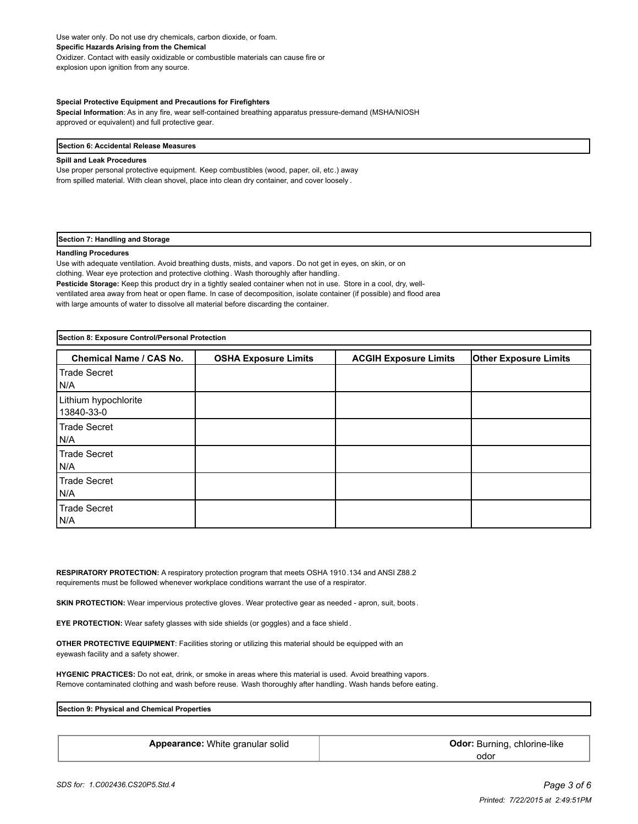Use water only. Do not use dry chemicals, carbon dioxide, or foam. **Specific Hazards Arising from the Chemical** Oxidizer. Contact with easily oxidizable or combustible materials can cause fire or explosion upon ignition from any source.

#### **Special Protective Equipment and Precautions for Firefighters**

**Special Information**: As in any fire, wear self-contained breathing apparatus pressure-demand (MSHA/NIOSH approved or equivalent) and full protective gear.

#### **Section 6: Accidental Release Measures**

# **Spill and Leak Procedures**

Use proper personal protective equipment. Keep combustibles (wood, paper, oil, etc.) away from spilled material. With clean shovel, place into clean dry container, and cover loosely .

#### **Section 7: Handling and Storage**

#### **Handling Procedures**

Use with adequate ventilation. Avoid breathing dusts, mists, and vapors. Do not get in eyes, on skin, or on clothing. Wear eye protection and protective clothing. Wash thoroughly after handling. **Pesticide Storage:** Keep this product dry in a tightly sealed container when not in use. Store in a cool, dry, wellventilated area away from heat or open flame. In case of decomposition, isolate container (if possible) and flood area with large amounts of water to dissolve all material before discarding the container.

| Section 8: Exposure Control/Personal Protection |                             |                              |                              |
|-------------------------------------------------|-----------------------------|------------------------------|------------------------------|
| <b>Chemical Name / CAS No.</b>                  | <b>OSHA Exposure Limits</b> | <b>ACGIH Exposure Limits</b> | <b>Other Exposure Limits</b> |
| Trade Secret<br>N/A                             |                             |                              |                              |
| Lithium hypochlorite<br>13840-33-0              |                             |                              |                              |
| Trade Secret<br>N/A                             |                             |                              |                              |
| Trade Secret<br>N/A                             |                             |                              |                              |
| Trade Secret<br>N/A                             |                             |                              |                              |
| <b>Trade Secret</b><br>N/A                      |                             |                              |                              |

**RESPIRATORY PROTECTION:** A respiratory protection program that meets OSHA 1910.134 and ANSI Z88.2 requirements must be followed whenever workplace conditions warrant the use of a respirator.

**SKIN PROTECTION:** Wear impervious protective gloves. Wear protective gear as needed - apron, suit, boots.

**EYE PROTECTION:** Wear safety glasses with side shields (or goggles) and a face shield .

**OTHER PROTECTIVE EQUIPMENT**: Facilities storing or utilizing this material should be equipped with an eyewash facility and a safety shower.

**HYGENIC PRACTICES:** Do not eat, drink, or smoke in areas where this material is used. Avoid breathing vapors. Remove contaminated clothing and wash before reuse. Wash thoroughly after handling. Wash hands before eating.

**Section 9: Physical and Chemical Properties**

| Appearance: White granular solid | <b>Odor:</b> Burning, chlorine-like |
|----------------------------------|-------------------------------------|
|                                  | odor                                |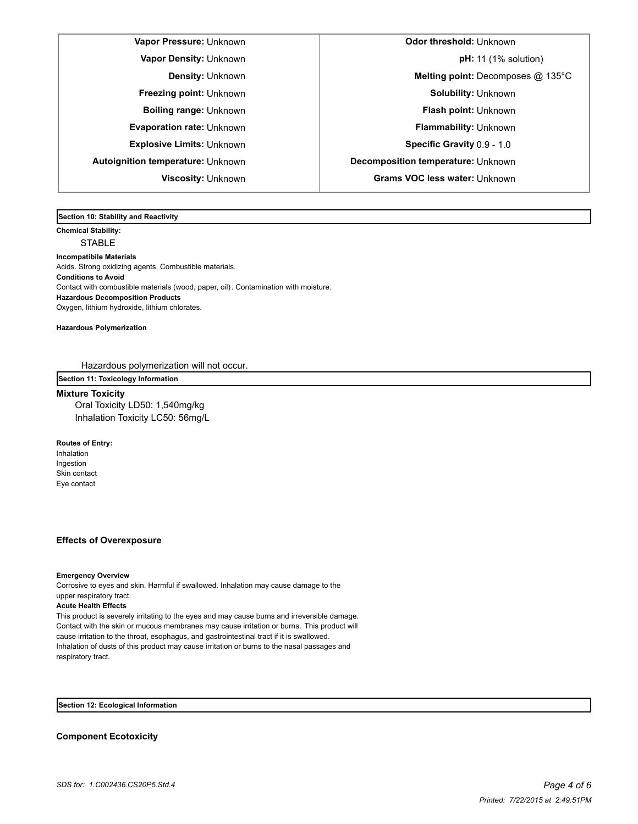**Vapor Pressure:** Unknown **Odor threshold:** Unknown **Autoignition temperature:** Unknown **Decomposition temperature:** Unknown **Viscosity:** Unknown **Grams VOC less water:** Unknown

**Vapor Density:** Unknown **pH:** 11 (1% solution) **Density:** Unknown **Melting point:** Decomposes @ 135°C **Freezing point:** Unknown **Solubility: Unknown Boiling range:** Unknown **Flash point:** Unknown **Evaporation rate:** Unknown **Flammability:** Unknown **Explosive Limits:** Unknown **Specific Gravity** 0.9 - 1.0

**Section 10: Stability and Reactivity** 

**Chemical Stability:** STABLE

**Incompatibile Materials**  Acids. Strong oxidizing agents. Combustible materials. **Conditions to Avoid** Contact with combustible materials (wood, paper, oil). Contamination with moisture. **Hazardous Decomposition Products** Oxygen, lithium hydroxide, lithium chlorates.

**Hazardous Polymerization**

Hazardous polymerization will not occur.

**Section 11: Toxicology Information**

# **Mixture Toxicity**

Oral Toxicity LD50: 1,540mg/kg Inhalation Toxicity LC50: 56mg/L

**Routes of Entry:** Inhalation Ingestion Skin contact Eye contact

# **Effects of Overexposure**

**Emergency Overview**

Corrosive to eyes and skin. Harmful if swallowed. Inhalation may cause damage to the upper respiratory tract.

#### **Acute Health Effects**

This product is severely irritating to the eyes and may cause burns and irreversible damage. Contact with the skin or mucous membranes may cause irritation or burns. This product will cause irritation to the throat, esophagus, and gastrointestinal tract if it is swallowed. Inhalation of dusts of this product may cause irritation or burns to the nasal passages and respiratory tract.

**Section 12: Ecological Information**

**Component Ecotoxicity**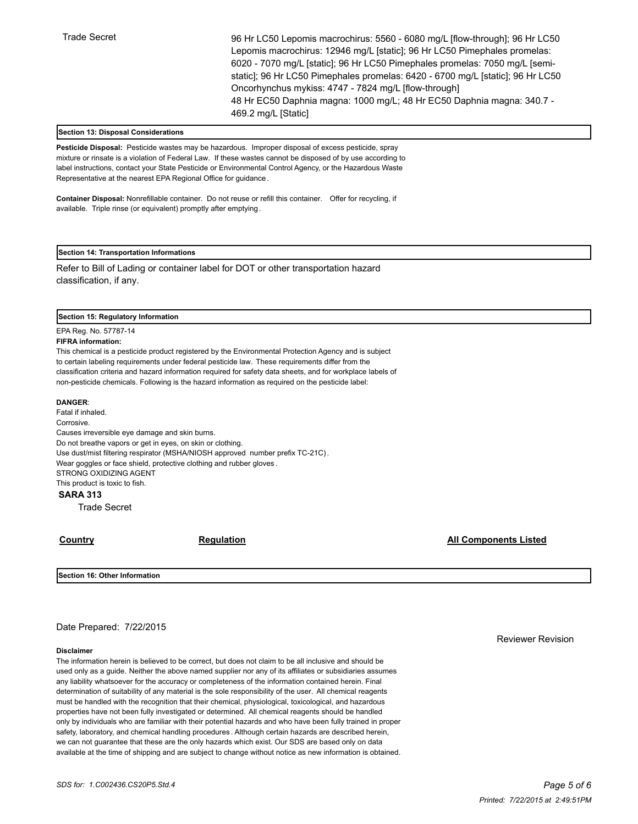Trade Secret 96 Hr LC50 Lepomis macrochirus: 5560 - 6080 mg/L [flow-through]; 96 Hr LC50 Lepomis macrochirus: 12946 mg/L [static]; 96 Hr LC50 Pimephales promelas: 6020 - 7070 mg/L [static]; 96 Hr LC50 Pimephales promelas: 7050 mg/L [semistatic]; 96 Hr LC50 Pimephales promelas: 6420 - 6700 mg/L [static]; 96 Hr LC50 Oncorhynchus mykiss: 4747 - 7824 mg/L [flow-through] 48 Hr EC50 Daphnia magna: 1000 mg/L; 48 Hr EC50 Daphnia magna: 340.7 - 469.2 mg/L [Static]

# **Section 13: Disposal Considerations**

**Pesticide Disposal:** Pesticide wastes may be hazardous. Improper disposal of excess pesticide, spray mixture or rinsate is a violation of Federal Law. If these wastes cannot be disposed of by use according to label instructions, contact your State Pesticide or Environmental Control Agency, or the Hazardous Waste Representative at the nearest EPA Regional Office for guidance .

**Container Disposal:** Nonrefillable container. Do not reuse or refill this container. Offer for recycling, if available. Triple rinse (or equivalent) promptly after emptying.

#### **Section 14: Transportation Informations**

Refer to Bill of Lading or container label for DOT or other transportation hazard classification, if any.

#### **Section 15: Regulatory Information**

EPA Reg. No. 57787-14

# **FIFRA information:**

This chemical is a pesticide product registered by the Environmental Protection Agency and is subject to certain labeling requirements under federal pesticide law. These requirements differ from the classification criteria and hazard information required for safety data sheets, and for workplace labels of non-pesticide chemicals. Following is the hazard information as required on the pesticide label:

### **DANGER**:

Fatal if inhaled. Corrosive. Causes irreversible eye damage and skin burns. Do not breathe vapors or get in eyes, on skin or clothing. Use dust/mist filtering respirator (MSHA/NIOSH approved number prefix TC-21C). Wear goggles or face shield, protective clothing and rubber gloves . STRONG OXIDIZING AGENT This product is toxic to fish.

# **SARA 313**

Trade Secret

**Country Country Countries Country Countries Countries Countries All Components Listed** 

**Section 16: Other Information**

# Date Prepared: 7/22/2015

#### **Disclaimer**

The information herein is believed to be correct, but does not claim to be all inclusive and should be used only as a guide. Neither the above named supplier nor any of its affiliates or subsidiaries assumes any liability whatsoever for the accuracy or completeness of the information contained herein. Final determination of suitability of any material is the sole responsibility of the user. All chemical reagents must be handled with the recognition that their chemical, physiological, toxicological, and hazardous properties have not been fully investigated or determined. All chemical reagents should be handled only by individuals who are familiar with their potential hazards and who have been fully trained in proper safety, laboratory, and chemical handling procedures . Although certain hazards are described herein, we can not guarantee that these are the only hazards which exist. Our SDS are based only on data available at the time of shipping and are subject to change without notice as new information is obtained. Reviewer Revision